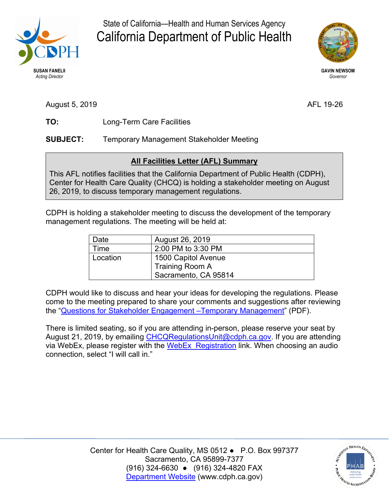

State of California—Health and Human Services Agency California Department of Public Health



August 5, 2019 **AFL 19-26** 

TO: **Long-Term Care Facilities** 

## **SUBJECT: Temporary Management Stakeholder Meeting**

## **All Facilities Letter (AFL) Summary**

This AFL notifies facilities that the California Department of Public Health (CDPH), Center for Health Care Quality (CHCQ) is holding a stakeholder meeting on August 26, 2019, to discuss temporary management regulations.

CDPH is holding a stakeholder meeting to discuss the development of the temporary management regulations. The meeting will be held at:

| Date     | August 26, 2019      |
|----------|----------------------|
| Time     | 2:00 PM to 3:30 PM   |
| Location | 1500 Capitol Avenue  |
|          | Training Room A      |
|          | Sacramento, CA 95814 |

CDPH would like to discuss and hear your ideas for developing the regulations. Please come to the meeting prepared to share your comments and suggestions after reviewing the ["Questions for Stakeholder Engagement –Temporary Management"](https://www.cdph.ca.gov/Programs/CHCQ/LCP/CDPH%20Document%20Library/Temporary-Management-Stakeholder-Questions.pdf) (PDF).

via WebEx, please register with the <u>WebEx\_Registration</u> link. When choosing an audio There is limited seating, so if you are attending in-person, please reserve your seat by August 21, 2019, by emailing [CHCQRegulationsUnit@cdph.ca.gov.](mailto:CHCQRegulationsUnit@cdph.ca.gov) If you are attending connection, select "I will call in."